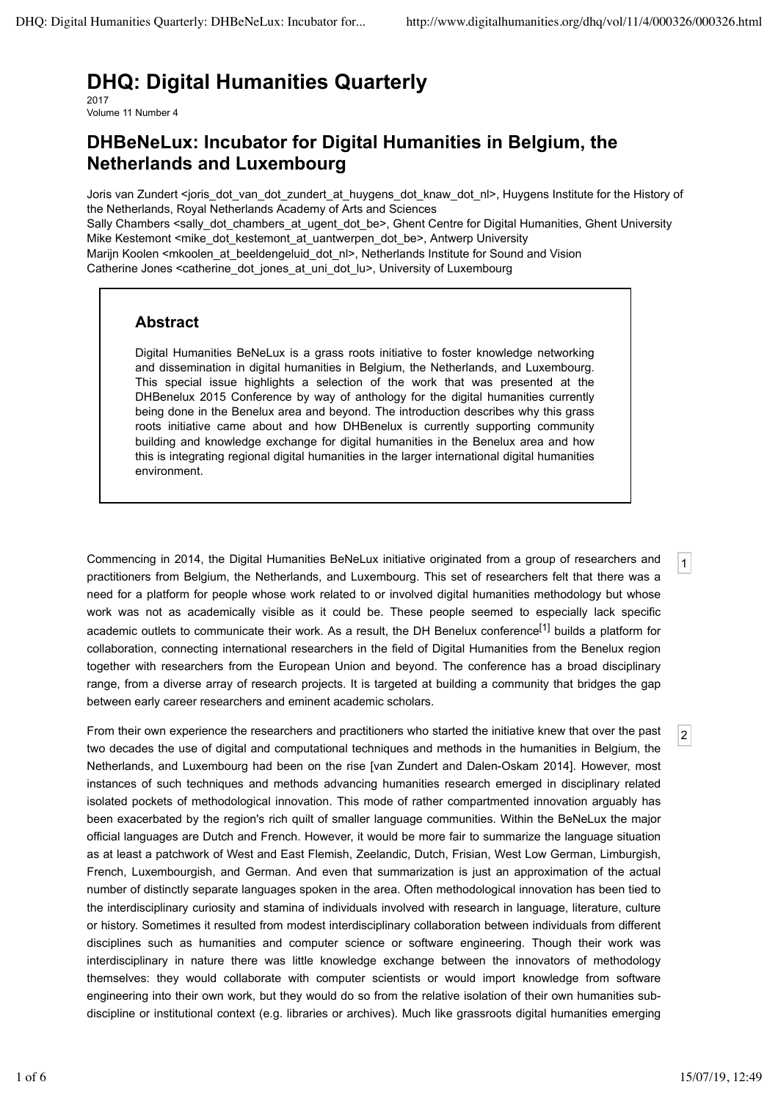# **DHQ: Digital Humanities Quarterly**

2017 Volume 11 Number 4

## **DHBeNeLux: Incubator for Digital Humanities in Belgium, the Netherlands and Luxembourg**

Joris van Zundert <joris\_dot\_van\_dot\_zundert\_at\_huygens\_dot\_knaw\_dot\_nl>, Huygens Institute for the History of the Netherlands, Royal Netherlands Academy of Arts and Sciences Sally Chambers <sally dot chambers at ugent dot be>, Ghent Centre for Digital Humanities, Ghent University Mike Kestemont <mike\_dot\_kestemont\_at\_uantwerpen\_dot\_be>, Antwerp University Marijn Koolen <mkoolen\_at\_beeldengeluid\_dot\_nl>, Netherlands Institute for Sound and Vision Catherine Jones <catherine\_dot\_jones\_at\_uni\_dot\_lu>, University of Luxembourg

## **Abstract**

Digital Humanities BeNeLux is a grass roots initiative to foster knowledge networking and dissemination in digital humanities in Belgium, the Netherlands, and Luxembourg. This special issue highlights a selection of the work that was presented at the DHBenelux 2015 Conference by way of anthology for the digital humanities currently being done in the Benelux area and beyond. The introduction describes why this grass roots initiative came about and how DHBenelux is currently supporting community building and knowledge exchange for digital humanities in the Benelux area and how this is integrating regional digital humanities in the larger international digital humanities environment.

Commencing in 2014, the Digital Humanities BeNeLux initiative originated from a group of researchers and practitioners from Belgium, the Netherlands, and Luxembourg. This set of researchers felt that there was a need for a platform for people whose work related to or involved digital humanities methodology but whose work was not as academically visible as it could be. These people seemed to especially lack specific academic outlets to communicate their work. As a result, the DH Benelux conference<sup>[1]</sup> builds a platform for collaboration, connecting international researchers in the field of Digital Humanities from the Benelux region together with researchers from the European Union and beyond. The conference has a broad disciplinary range, from a diverse array of research projects. It is targeted at building a community that bridges the gap between early career researchers and eminent academic scholars.

From their own experience the researchers and practitioners who started the initiative knew that over the past two decades the use of digital and computational techniques and methods in the humanities in Belgium, the Netherlands, and Luxembourg had been on the rise [van Zundert and Dalen-Oskam 2014]. However, most instances of such techniques and methods advancing humanities research emerged in disciplinary related isolated pockets of methodological innovation. This mode of rather compartmented innovation arguably has been exacerbated by the region's rich quilt of smaller language communities. Within the BeNeLux the major official languages are Dutch and French. However, it would be more fair to summarize the language situation as at least a patchwork of West and East Flemish, Zeelandic, Dutch, Frisian, West Low German, Limburgish, French, Luxembourgish, and German. And even that summarization is just an approximation of the actual number of distinctly separate languages spoken in the area. Often methodological innovation has been tied to the interdisciplinary curiosity and stamina of individuals involved with research in language, literature, culture or history. Sometimes it resulted from modest interdisciplinary collaboration between individuals from different disciplines such as humanities and computer science or software engineering. Though their work was interdisciplinary in nature there was little knowledge exchange between the innovators of methodology themselves: they would collaborate with computer scientists or would import knowledge from software engineering into their own work, but they would do so from the relative isolation of their own humanities subdiscipline or institutional context (e.g. libraries or archives). Much like grassroots digital humanities emerging

1

2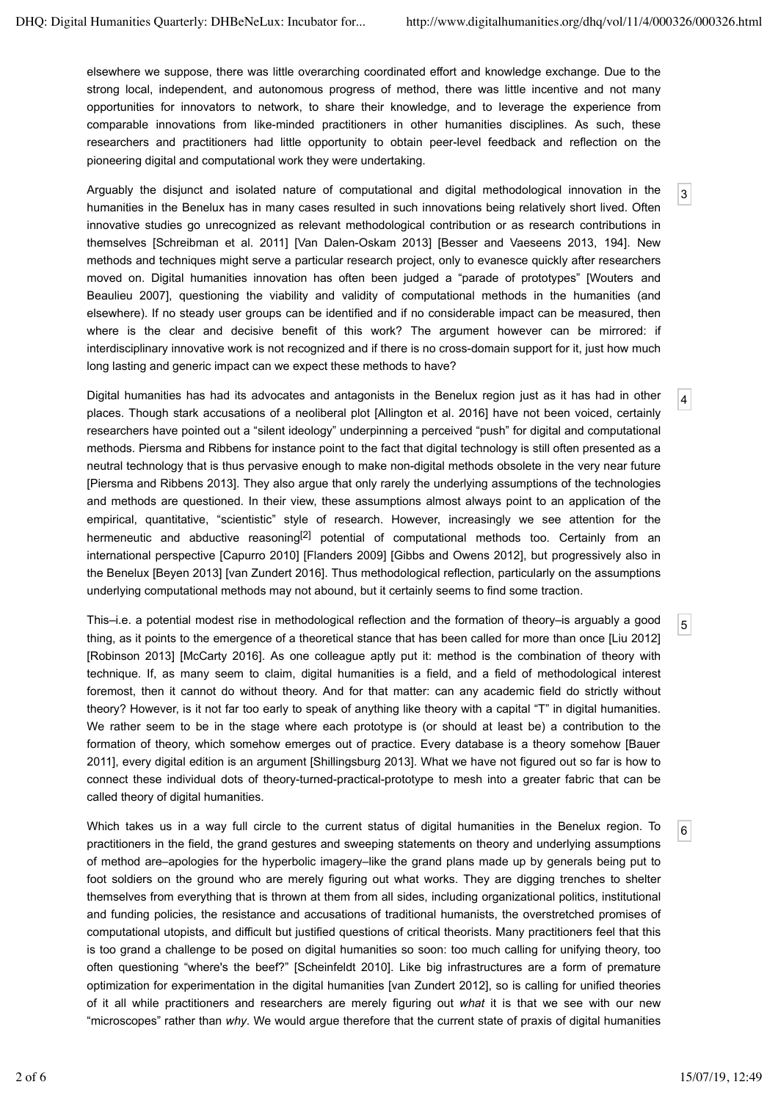3

4

5

6

elsewhere we suppose, there was little overarching coordinated effort and knowledge exchange. Due to the strong local, independent, and autonomous progress of method, there was little incentive and not many opportunities for innovators to network, to share their knowledge, and to leverage the experience from comparable innovations from like-minded practitioners in other humanities disciplines. As such, these researchers and practitioners had little opportunity to obtain peer-level feedback and reflection on the pioneering digital and computational work they were undertaking.

Arguably the disjunct and isolated nature of computational and digital methodological innovation in the humanities in the Benelux has in many cases resulted in such innovations being relatively short lived. Often innovative studies go unrecognized as relevant methodological contribution or as research contributions in themselves [Schreibman et al. 2011] [Van Dalen-Oskam 2013] [Besser and Vaeseens 2013, 194]. New methods and techniques might serve a particular research project, only to evanesce quickly after researchers moved on. Digital humanities innovation has often been judged a "parade of prototypes" [Wouters and Beaulieu 2007], questioning the viability and validity of computational methods in the humanities (and elsewhere). If no steady user groups can be identified and if no considerable impact can be measured, then where is the clear and decisive benefit of this work? The argument however can be mirrored: if interdisciplinary innovative work is not recognized and if there is no cross-domain support for it, just how much long lasting and generic impact can we expect these methods to have?

Digital humanities has had its advocates and antagonists in the Benelux region just as it has had in other places. Though stark accusations of a neoliberal plot [Allington et al. 2016] have not been voiced, certainly researchers have pointed out a "silent ideology" underpinning a perceived "push" for digital and computational methods. Piersma and Ribbens for instance point to the fact that digital technology is still often presented as a neutral technology that is thus pervasive enough to make non-digital methods obsolete in the very near future [Piersma and Ribbens 2013]. They also argue that only rarely the underlying assumptions of the technologies and methods are questioned. In their view, these assumptions almost always point to an application of the empirical, quantitative, "scientistic" style of research. However, increasingly we see attention for the hermeneutic and abductive reasoning<sup>[2]</sup> potential of computational methods too. Certainly from an international perspective [Capurro 2010] [Flanders 2009] [Gibbs and Owens 2012], but progressively also in the Benelux [Beyen 2013] [van Zundert 2016]. Thus methodological reflection, particularly on the assumptions underlying computational methods may not abound, but it certainly seems to find some traction.

This–i.e. a potential modest rise in methodological reflection and the formation of theory–is arguably a good thing, as it points to the emergence of a theoretical stance that has been called for more than once [Liu 2012] [Robinson 2013] [McCarty 2016]. As one colleague aptly put it: method is the combination of theory with technique. If, as many seem to claim, digital humanities is a field, and a field of methodological interest foremost, then it cannot do without theory. And for that matter: can any academic field do strictly without theory? However, is it not far too early to speak of anything like theory with a capital "T" in digital humanities. We rather seem to be in the stage where each prototype is (or should at least be) a contribution to the formation of theory, which somehow emerges out of practice. Every database is a theory somehow [Bauer 2011], every digital edition is an argument [Shillingsburg 2013]. What we have not figured out so far is how to connect these individual dots of theory-turned-practical-prototype to mesh into a greater fabric that can be called theory of digital humanities.

Which takes us in a way full circle to the current status of digital humanities in the Benelux region. To practitioners in the field, the grand gestures and sweeping statements on theory and underlying assumptions of method are–apologies for the hyperbolic imagery–like the grand plans made up by generals being put to foot soldiers on the ground who are merely figuring out what works. They are digging trenches to shelter themselves from everything that is thrown at them from all sides, including organizational politics, institutional and funding policies, the resistance and accusations of traditional humanists, the overstretched promises of computational utopists, and difficult but justified questions of critical theorists. Many practitioners feel that this is too grand a challenge to be posed on digital humanities so soon: too much calling for unifying theory, too often questioning "where's the beef?" [Scheinfeldt 2010]. Like big infrastructures are a form of premature optimization for experimentation in the digital humanities [van Zundert 2012], so is calling for unified theories of it all while practitioners and researchers are merely figuring out *what* it is that we see with our new "microscopes" rather than *why*. We would argue therefore that the current state of praxis of digital humanities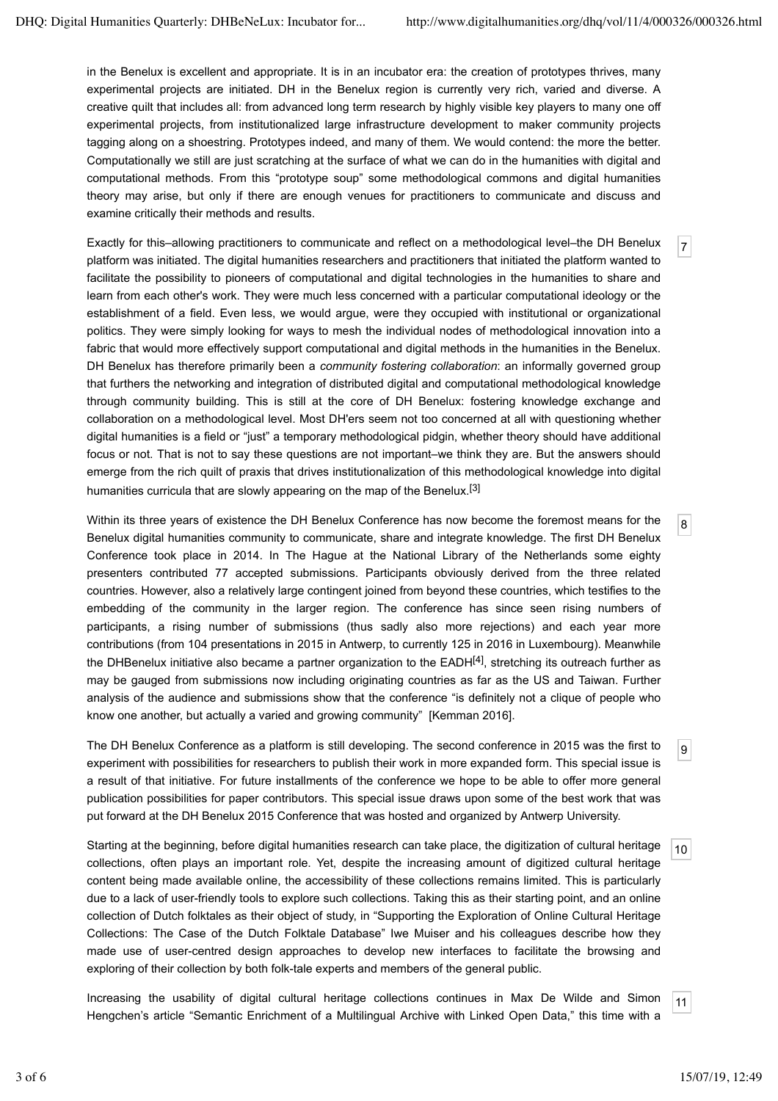7

8

in the Benelux is excellent and appropriate. It is in an incubator era: the creation of prototypes thrives, many experimental projects are initiated. DH in the Benelux region is currently very rich, varied and diverse. A creative quilt that includes all: from advanced long term research by highly visible key players to many one off experimental projects, from institutionalized large infrastructure development to maker community projects tagging along on a shoestring. Prototypes indeed, and many of them. We would contend: the more the better. Computationally we still are just scratching at the surface of what we can do in the humanities with digital and computational methods. From this "prototype soup" some methodological commons and digital humanities theory may arise, but only if there are enough venues for practitioners to communicate and discuss and examine critically their methods and results.

Exactly for this–allowing practitioners to communicate and reflect on a methodological level–the DH Benelux platform was initiated. The digital humanities researchers and practitioners that initiated the platform wanted to facilitate the possibility to pioneers of computational and digital technologies in the humanities to share and learn from each other's work. They were much less concerned with a particular computational ideology or the establishment of a field. Even less, we would argue, were they occupied with institutional or organizational politics. They were simply looking for ways to mesh the individual nodes of methodological innovation into a fabric that would more effectively support computational and digital methods in the humanities in the Benelux. DH Benelux has therefore primarily been a *community fostering collaboration*: an informally governed group that furthers the networking and integration of distributed digital and computational methodological knowledge through community building. This is still at the core of DH Benelux: fostering knowledge exchange and collaboration on a methodological level. Most DH'ers seem not too concerned at all with questioning whether digital humanities is a field or "just" a temporary methodological pidgin, whether theory should have additional focus or not. That is not to say these questions are not important–we think they are. But the answers should emerge from the rich quilt of praxis that drives institutionalization of this methodological knowledge into digital humanities curricula that are slowly appearing on the map of the Benelux.<sup>[3]</sup>

Within its three years of existence the DH Benelux Conference has now become the foremost means for the Benelux digital humanities community to communicate, share and integrate knowledge. The first DH Benelux Conference took place in 2014. In The Hague at the National Library of the Netherlands some eighty presenters contributed 77 accepted submissions. Participants obviously derived from the three related countries. However, also a relatively large contingent joined from beyond these countries, which testifies to the embedding of the community in the larger region. The conference has since seen rising numbers of participants, a rising number of submissions (thus sadly also more rejections) and each year more contributions (from 104 presentations in 2015 in Antwerp, to currently 125 in 2016 in Luxembourg). Meanwhile the DHBenelux initiative also became a partner organization to the  $EADH<sup>[4]</sup>$ , stretching its outreach further as may be gauged from submissions now including originating countries as far as the US and Taiwan. Further analysis of the audience and submissions show that the conference "is definitely not a clique of people who know one another, but actually a varied and growing community" [Kemman 2016].

 $\overline{9}$ The DH Benelux Conference as a platform is still developing. The second conference in 2015 was the first to experiment with possibilities for researchers to publish their work in more expanded form. This special issue is a result of that initiative. For future installments of the conference we hope to be able to offer more general publication possibilities for paper contributors. This special issue draws upon some of the best work that was put forward at the DH Benelux 2015 Conference that was hosted and organized by Antwerp University.

10 Starting at the beginning, before digital humanities research can take place, the digitization of cultural heritage collections, often plays an important role. Yet, despite the increasing amount of digitized cultural heritage content being made available online, the accessibility of these collections remains limited. This is particularly due to a lack of user-friendly tools to explore such collections. Taking this as their starting point, and an online collection of Dutch folktales as their object of study, in "Supporting the Exploration of Online Cultural Heritage Collections: The Case of the Dutch Folktale Database" Iwe Muiser and his colleagues describe how they made use of user-centred design approaches to develop new interfaces to facilitate the browsing and exploring of their collection by both folk-tale experts and members of the general public.

Increasing the usability of digital cultural heritage collections continues in Max De Wilde and Simon Hengchen's article "Semantic Enrichment of a Multilingual Archive with Linked Open Data," this time with a

11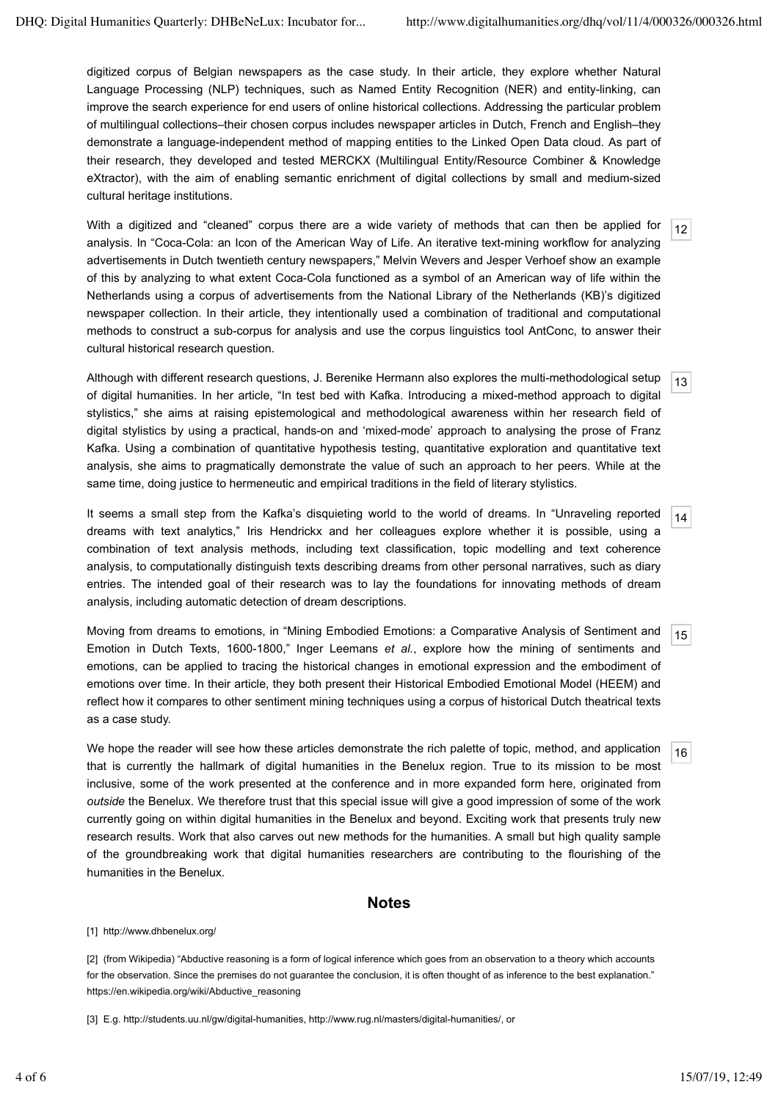digitized corpus of Belgian newspapers as the case study. In their article, they explore whether Natural Language Processing (NLP) techniques, such as Named Entity Recognition (NER) and entity-linking, can improve the search experience for end users of online historical collections. Addressing the particular problem of multilingual collections–their chosen corpus includes newspaper articles in Dutch, French and English–they demonstrate a language-independent method of mapping entities to the Linked Open Data cloud. As part of their research, they developed and tested MERCKX (Multilingual Entity/Resource Combiner & Knowledge eXtractor), with the aim of enabling semantic enrichment of digital collections by small and medium-sized cultural heritage institutions.

12 With a digitized and "cleaned" corpus there are a wide variety of methods that can then be applied for analysis. In "Coca-Cola: an Icon of the American Way of Life. An iterative text-mining workflow for analyzing advertisements in Dutch twentieth century newspapers," Melvin Wevers and Jesper Verhoef show an example of this by analyzing to what extent Coca-Cola functioned as a symbol of an American way of life within the Netherlands using a corpus of advertisements from the National Library of the Netherlands (KB)'s digitized newspaper collection. In their article, they intentionally used a combination of traditional and computational methods to construct a sub-corpus for analysis and use the corpus linguistics tool AntConc, to answer their cultural historical research question.

13 Although with different research questions, J. Berenike Hermann also explores the multi-methodological setup of digital humanities. In her article, "In test bed with Kafka. Introducing a mixed-method approach to digital stylistics," she aims at raising epistemological and methodological awareness within her research field of digital stylistics by using a practical, hands-on and 'mixed-mode' approach to analysing the prose of Franz Kafka. Using a combination of quantitative hypothesis testing, quantitative exploration and quantitative text analysis, she aims to pragmatically demonstrate the value of such an approach to her peers. While at the same time, doing justice to hermeneutic and empirical traditions in the field of literary stylistics.

14 It seems a small step from the Kafka's disquieting world to the world of dreams. In "Unraveling reported dreams with text analytics," Iris Hendrickx and her colleagues explore whether it is possible, using a combination of text analysis methods, including text classification, topic modelling and text coherence analysis, to computationally distinguish texts describing dreams from other personal narratives, such as diary entries. The intended goal of their research was to lay the foundations for innovating methods of dream analysis, including automatic detection of dream descriptions.

15 Moving from dreams to emotions, in "Mining Embodied Emotions: a Comparative Analysis of Sentiment and Emotion in Dutch Texts, 1600-1800," Inger Leemans *et al.*, explore how the mining of sentiments and emotions, can be applied to tracing the historical changes in emotional expression and the embodiment of emotions over time. In their article, they both present their Historical Embodied Emotional Model (HEEM) and reflect how it compares to other sentiment mining techniques using a corpus of historical Dutch theatrical texts as a case study.

16 We hope the reader will see how these articles demonstrate the rich palette of topic, method, and application that is currently the hallmark of digital humanities in the Benelux region. True to its mission to be most inclusive, some of the work presented at the conference and in more expanded form here, originated from *outside* the Benelux. We therefore trust that this special issue will give a good impression of some of the work currently going on within digital humanities in the Benelux and beyond. Exciting work that presents truly new research results. Work that also carves out new methods for the humanities. A small but high quality sample of the groundbreaking work that digital humanities researchers are contributing to the flourishing of the humanities in the Benelux.

#### **Notes**

[1] http://www.dhbenelux.org/

[2] (from Wikipedia) "Abductive reasoning is a form of logical inference which goes from an observation to a theory which accounts for the observation. Since the premises do not guarantee the conclusion, it is often thought of as inference to the best explanation." https://en.wikipedia.org/wiki/Abductive\_reasoning

[3] E.g. http://students.uu.nl/gw/digital-humanities, http://www.rug.nl/masters/digital-humanities/, or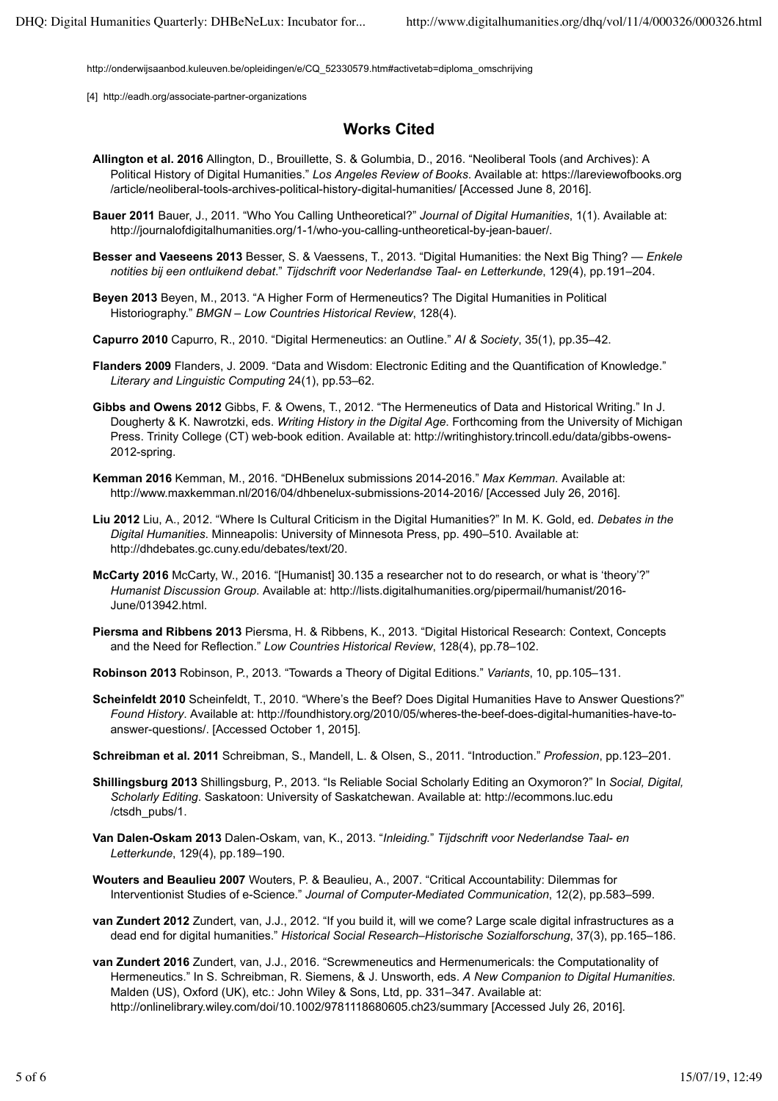http://onderwijsaanbod.kuleuven.be/opleidingen/e/CQ\_52330579.htm#activetab=diploma\_omschrijving

[4] http://eadh.org/associate-partner-organizations

### **Works Cited**

- **Allington et al. 2016** Allington, D., Brouillette, S. & Golumbia, D., 2016. "Neoliberal Tools (and Archives): A Political History of Digital Humanities." *Los Angeles Review of Books*. Available at: https://lareviewofbooks.org /article/neoliberal-tools-archives-political-history-digital-humanities/ [Accessed June 8, 2016].
- **Bauer 2011** Bauer, J., 2011. "Who You Calling Untheoretical?" *Journal of Digital Humanities*, 1(1). Available at: http://journalofdigitalhumanities.org/1-1/who-you-calling-untheoretical-by-jean-bauer/.
- **Besser and Vaeseens 2013** Besser, S. & Vaessens, T., 2013. "Digital Humanities: the Next Big Thing? *Enkele notities bij een ontluikend debat*." *Tijdschrift voor Nederlandse Taal- en Letterkunde*, 129(4), pp.191–204.
- **Beyen 2013** Beyen, M., 2013. "A Higher Form of Hermeneutics? The Digital Humanities in Political Historiography." *BMGN – Low Countries Historical Review*, 128(4).
- **Capurro 2010** Capurro, R., 2010. "Digital Hermeneutics: an Outline." *AI & Society*, 35(1), pp.35–42.
- **Flanders 2009** Flanders, J. 2009. "Data and Wisdom: Electronic Editing and the Quantification of Knowledge." *Literary and Linguistic Computing* 24(1), pp.53–62.
- **Gibbs and Owens 2012** Gibbs, F. & Owens, T., 2012. "The Hermeneutics of Data and Historical Writing." In J. Dougherty & K. Nawrotzki, eds. *Writing History in the Digital Age*. Forthcoming from the University of Michigan Press. Trinity College (CT) web-book edition. Available at: http://writinghistory.trincoll.edu/data/gibbs-owens-2012-spring.
- **Kemman 2016** Kemman, M., 2016. "DHBenelux submissions 2014-2016." *Max Kemman*. Available at: http://www.maxkemman.nl/2016/04/dhbenelux-submissions-2014-2016/ [Accessed July 26, 2016].
- **Liu 2012** Liu, A., 2012. "Where Is Cultural Criticism in the Digital Humanities?" In M. K. Gold, ed. *Debates in the Digital Humanities*. Minneapolis: University of Minnesota Press, pp. 490–510. Available at: http://dhdebates.gc.cuny.edu/debates/text/20.
- **McCarty 2016** McCarty, W., 2016. "[Humanist] 30.135 a researcher not to do research, or what is 'theory'?" *Humanist Discussion Group*. Available at: http://lists.digitalhumanities.org/pipermail/humanist/2016- June/013942.html.
- **Piersma and Ribbens 2013** Piersma, H. & Ribbens, K., 2013. "Digital Historical Research: Context, Concepts and the Need for Reflection." *Low Countries Historical Review*, 128(4), pp.78–102.
- **Robinson 2013** Robinson, P., 2013. "Towards a Theory of Digital Editions." *Variants*, 10, pp.105–131.
- **Scheinfeldt 2010** Scheinfeldt, T., 2010. "Where's the Beef? Does Digital Humanities Have to Answer Questions?" *Found History*. Available at: http://foundhistory.org/2010/05/wheres-the-beef-does-digital-humanities-have-toanswer-questions/. [Accessed October 1, 2015].
- **Schreibman et al. 2011** Schreibman, S., Mandell, L. & Olsen, S., 2011. "Introduction." *Profession*, pp.123–201.
- **Shillingsburg 2013** Shillingsburg, P., 2013. "Is Reliable Social Scholarly Editing an Oxymoron?" In *Social, Digital, Scholarly Editing*. Saskatoon: University of Saskatchewan. Available at: http://ecommons.luc.edu /ctsdh\_pubs/1.
- **Van Dalen-Oskam 2013** Dalen-Oskam, van, K., 2013. "*Inleiding.*" *Tijdschrift voor Nederlandse Taal- en Letterkunde*, 129(4), pp.189–190.
- **Wouters and Beaulieu 2007** Wouters, P. & Beaulieu, A., 2007. "Critical Accountability: Dilemmas for Interventionist Studies of e-Science." *Journal of Computer-Mediated Communication*, 12(2), pp.583–599.
- **van Zundert 2012** Zundert, van, J.J., 2012. "If you build it, will we come? Large scale digital infrastructures as a dead end for digital humanities." *Historical Social Research–Historische Sozialforschung*, 37(3), pp.165–186.
- **van Zundert 2016** Zundert, van, J.J., 2016. "Screwmeneutics and Hermenumericals: the Computationality of Hermeneutics." In S. Schreibman, R. Siemens, & J. Unsworth, eds. *A New Companion to Digital Humanities*. Malden (US), Oxford (UK), etc.: John Wiley & Sons, Ltd, pp. 331–347. Available at: http://onlinelibrary.wiley.com/doi/10.1002/9781118680605.ch23/summary [Accessed July 26, 2016].